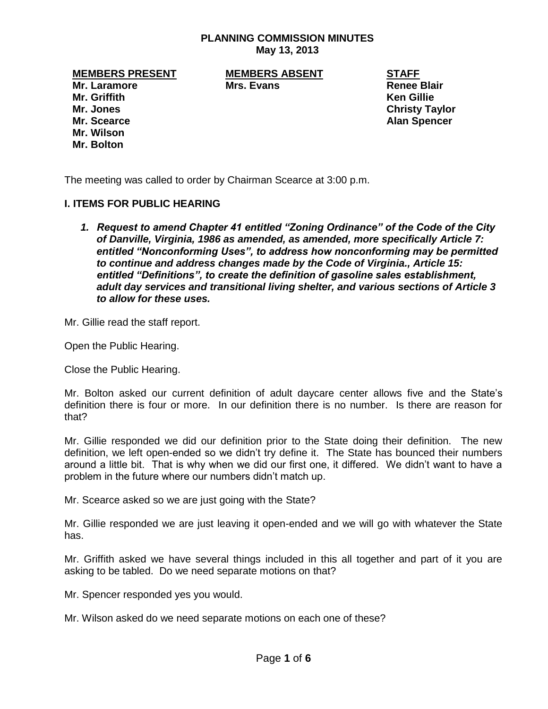## **PLANNING COMMISSION MINUTES May 13, 2013**

**MEMBERS PRESENT MEMBERS ABSENT STAFF**

**Mr. Laramore Mrs. Evans Renee Blair** 

**Mr. Jones Christy Taylor Mr. Scearce Alan Spencer**

**Mr. Griffith Ken Gillie Mr. Wilson Mr. Bolton**

The meeting was called to order by Chairman Scearce at 3:00 p.m.

## **I. ITEMS FOR PUBLIC HEARING**

*1. Request to amend Chapter 41 entitled "Zoning Ordinance" of the Code of the City of Danville, Virginia, 1986 as amended, as amended, more specifically Article 7: entitled "Nonconforming Uses", to address how nonconforming may be permitted to continue and address changes made by the Code of Virginia., Article 15: entitled "Definitions", to create the definition of gasoline sales establishment, adult day services and transitional living shelter, and various sections of Article 3 to allow for these uses.*

Mr. Gillie read the staff report.

Open the Public Hearing.

Close the Public Hearing.

Mr. Bolton asked our current definition of adult daycare center allows five and the State's definition there is four or more. In our definition there is no number. Is there are reason for that?

Mr. Gillie responded we did our definition prior to the State doing their definition. The new definition, we left open-ended so we didn't try define it. The State has bounced their numbers around a little bit. That is why when we did our first one, it differed. We didn't want to have a problem in the future where our numbers didn't match up.

Mr. Scearce asked so we are just going with the State?

Mr. Gillie responded we are just leaving it open-ended and we will go with whatever the State has.

Mr. Griffith asked we have several things included in this all together and part of it you are asking to be tabled. Do we need separate motions on that?

Mr. Spencer responded yes you would.

Mr. Wilson asked do we need separate motions on each one of these?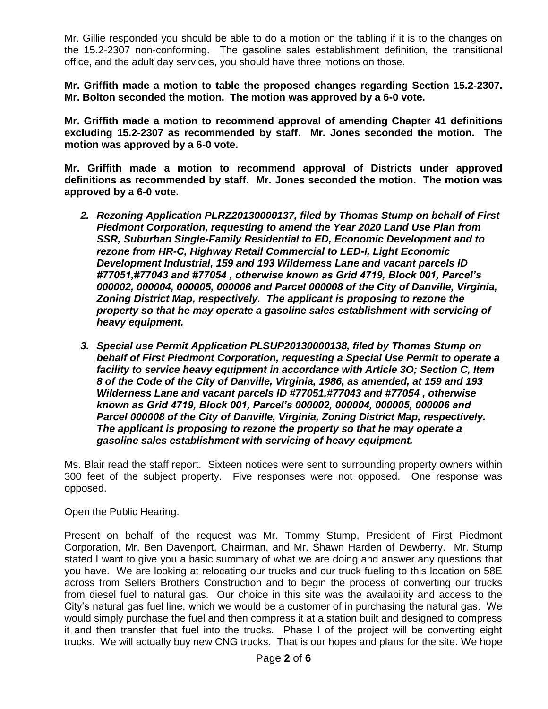Mr. Gillie responded you should be able to do a motion on the tabling if it is to the changes on the 15.2-2307 non-conforming. The gasoline sales establishment definition, the transitional office, and the adult day services, you should have three motions on those.

**Mr. Griffith made a motion to table the proposed changes regarding Section 15.2-2307. Mr. Bolton seconded the motion. The motion was approved by a 6-0 vote.** 

**Mr. Griffith made a motion to recommend approval of amending Chapter 41 definitions excluding 15.2-2307 as recommended by staff. Mr. Jones seconded the motion. The motion was approved by a 6-0 vote.** 

**Mr. Griffith made a motion to recommend approval of Districts under approved definitions as recommended by staff. Mr. Jones seconded the motion. The motion was approved by a 6-0 vote.** 

- *2. Rezoning Application PLRZ20130000137, filed by Thomas Stump on behalf of First Piedmont Corporation, requesting to amend the Year 2020 Land Use Plan from SSR, Suburban Single-Family Residential to ED, Economic Development and to rezone from HR-C, Highway Retail Commercial to LED-I, Light Economic Development Industrial, 159 and 193 Wilderness Lane and vacant parcels ID #77051,#77043 and #77054 , otherwise known as Grid 4719, Block 001, Parcel's 000002, 000004, 000005, 000006 and Parcel 000008 of the City of Danville, Virginia, Zoning District Map, respectively. The applicant is proposing to rezone the property so that he may operate a gasoline sales establishment with servicing of heavy equipment.*
- *3. Special use Permit Application PLSUP20130000138, filed by Thomas Stump on behalf of First Piedmont Corporation, requesting a Special Use Permit to operate a facility to service heavy equipment in accordance with Article 3O; Section C, Item 8 of the Code of the City of Danville, Virginia, 1986, as amended, at 159 and 193 Wilderness Lane and vacant parcels ID #77051,#77043 and #77054 , otherwise known as Grid 4719, Block 001, Parcel's 000002, 000004, 000005, 000006 and Parcel 000008 of the City of Danville, Virginia, Zoning District Map, respectively. The applicant is proposing to rezone the property so that he may operate a gasoline sales establishment with servicing of heavy equipment.*

Ms. Blair read the staff report. Sixteen notices were sent to surrounding property owners within 300 feet of the subject property. Five responses were not opposed. One response was opposed.

Open the Public Hearing.

Present on behalf of the request was Mr. Tommy Stump, President of First Piedmont Corporation, Mr. Ben Davenport, Chairman, and Mr. Shawn Harden of Dewberry. Mr. Stump stated I want to give you a basic summary of what we are doing and answer any questions that you have. We are looking at relocating our trucks and our truck fueling to this location on 58E across from Sellers Brothers Construction and to begin the process of converting our trucks from diesel fuel to natural gas. Our choice in this site was the availability and access to the City's natural gas fuel line, which we would be a customer of in purchasing the natural gas. We would simply purchase the fuel and then compress it at a station built and designed to compress it and then transfer that fuel into the trucks. Phase I of the project will be converting eight trucks. We will actually buy new CNG trucks. That is our hopes and plans for the site. We hope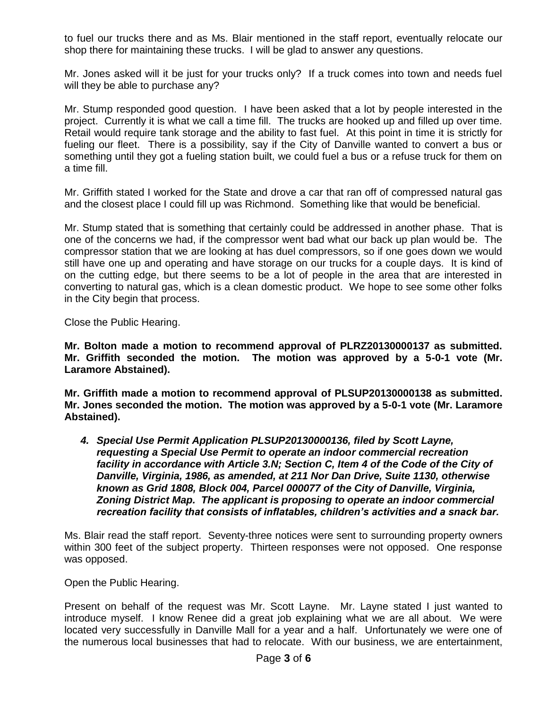to fuel our trucks there and as Ms. Blair mentioned in the staff report, eventually relocate our shop there for maintaining these trucks. I will be glad to answer any questions.

Mr. Jones asked will it be just for your trucks only? If a truck comes into town and needs fuel will they be able to purchase any?

Mr. Stump responded good question. I have been asked that a lot by people interested in the project. Currently it is what we call a time fill. The trucks are hooked up and filled up over time. Retail would require tank storage and the ability to fast fuel. At this point in time it is strictly for fueling our fleet. There is a possibility, say if the City of Danville wanted to convert a bus or something until they got a fueling station built, we could fuel a bus or a refuse truck for them on a time fill.

Mr. Griffith stated I worked for the State and drove a car that ran off of compressed natural gas and the closest place I could fill up was Richmond. Something like that would be beneficial.

Mr. Stump stated that is something that certainly could be addressed in another phase. That is one of the concerns we had, if the compressor went bad what our back up plan would be. The compressor station that we are looking at has duel compressors, so if one goes down we would still have one up and operating and have storage on our trucks for a couple days. It is kind of on the cutting edge, but there seems to be a lot of people in the area that are interested in converting to natural gas, which is a clean domestic product. We hope to see some other folks in the City begin that process.

Close the Public Hearing.

**Mr. Bolton made a motion to recommend approval of PLRZ20130000137 as submitted. Mr. Griffith seconded the motion. The motion was approved by a 5-0-1 vote (Mr. Laramore Abstained).** 

**Mr. Griffith made a motion to recommend approval of PLSUP20130000138 as submitted. Mr. Jones seconded the motion. The motion was approved by a 5-0-1 vote (Mr. Laramore Abstained).**

*4. Special Use Permit Application PLSUP20130000136, filed by Scott Layne, requesting a Special Use Permit to operate an indoor commercial recreation facility in accordance with Article 3.N; Section C, Item 4 of the Code of the City of Danville, Virginia, 1986, as amended, at 211 Nor Dan Drive, Suite 1130, otherwise known as Grid 1808, Block 004, Parcel 000077 of the City of Danville, Virginia, Zoning District Map. The applicant is proposing to operate an indoor commercial recreation facility that consists of inflatables, children's activities and a snack bar.* 

Ms. Blair read the staff report. Seventy-three notices were sent to surrounding property owners within 300 feet of the subject property. Thirteen responses were not opposed. One response was opposed.

Open the Public Hearing.

Present on behalf of the request was Mr. Scott Layne. Mr. Layne stated I just wanted to introduce myself. I know Renee did a great job explaining what we are all about. We were located very successfully in Danville Mall for a year and a half. Unfortunately we were one of the numerous local businesses that had to relocate. With our business, we are entertainment,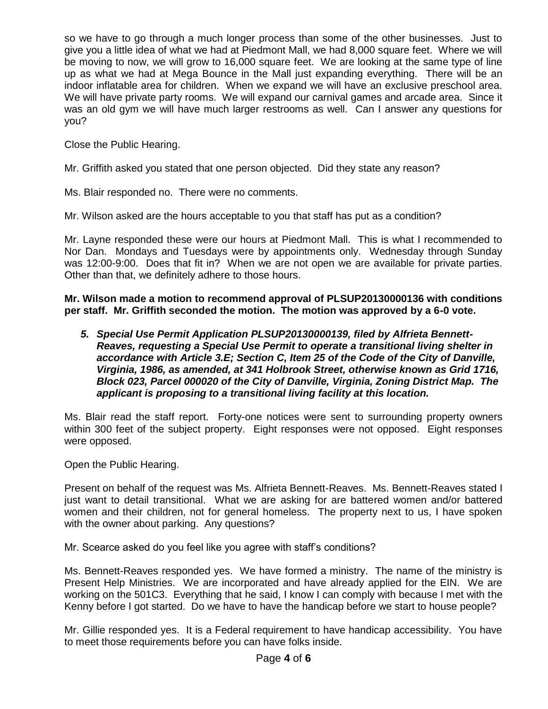so we have to go through a much longer process than some of the other businesses. Just to give you a little idea of what we had at Piedmont Mall, we had 8,000 square feet. Where we will be moving to now, we will grow to 16,000 square feet. We are looking at the same type of line up as what we had at Mega Bounce in the Mall just expanding everything. There will be an indoor inflatable area for children. When we expand we will have an exclusive preschool area. We will have private party rooms. We will expand our carnival games and arcade area. Since it was an old gym we will have much larger restrooms as well. Can I answer any questions for you?

Close the Public Hearing.

Mr. Griffith asked you stated that one person objected. Did they state any reason?

Ms. Blair responded no. There were no comments.

Mr. Wilson asked are the hours acceptable to you that staff has put as a condition?

Mr. Layne responded these were our hours at Piedmont Mall. This is what I recommended to Nor Dan. Mondays and Tuesdays were by appointments only. Wednesday through Sunday was 12:00-9:00. Does that fit in? When we are not open we are available for private parties. Other than that, we definitely adhere to those hours.

**Mr. Wilson made a motion to recommend approval of PLSUP20130000136 with conditions per staff. Mr. Griffith seconded the motion. The motion was approved by a 6-0 vote.**

*5. Special Use Permit Application PLSUP20130000139, filed by Alfrieta Bennett-Reaves, requesting a Special Use Permit to operate a transitional living shelter in accordance with Article 3.E; Section C, Item 25 of the Code of the City of Danville, Virginia, 1986, as amended, at 341 Holbrook Street, otherwise known as Grid 1716, Block 023, Parcel 000020 of the City of Danville, Virginia, Zoning District Map. The applicant is proposing to a transitional living facility at this location.* 

Ms. Blair read the staff report. Forty-one notices were sent to surrounding property owners within 300 feet of the subject property. Eight responses were not opposed. Eight responses were opposed.

Open the Public Hearing.

Present on behalf of the request was Ms. Alfrieta Bennett-Reaves. Ms. Bennett-Reaves stated I just want to detail transitional. What we are asking for are battered women and/or battered women and their children, not for general homeless. The property next to us, I have spoken with the owner about parking. Any questions?

Mr. Scearce asked do you feel like you agree with staff's conditions?

Ms. Bennett-Reaves responded yes. We have formed a ministry. The name of the ministry is Present Help Ministries. We are incorporated and have already applied for the EIN. We are working on the 501C3. Everything that he said, I know I can comply with because I met with the Kenny before I got started. Do we have to have the handicap before we start to house people?

Mr. Gillie responded yes. It is a Federal requirement to have handicap accessibility. You have to meet those requirements before you can have folks inside.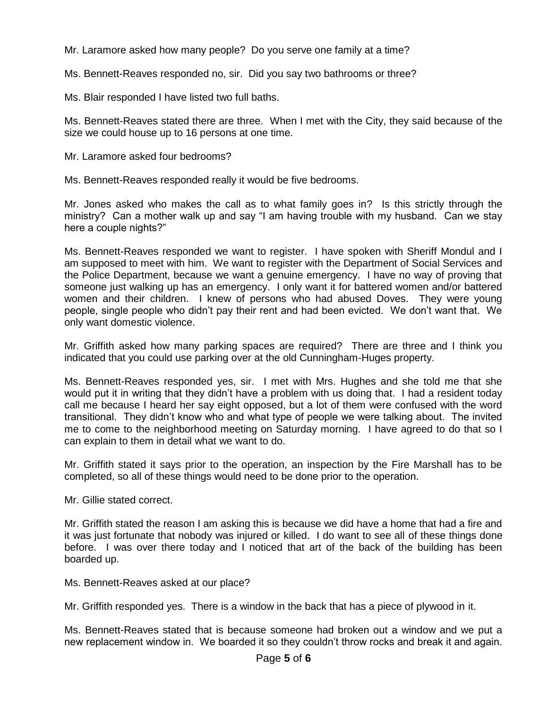Mr. Laramore asked how many people? Do you serve one family at a time?

Ms. Bennett-Reaves responded no, sir. Did you say two bathrooms or three?

Ms. Blair responded I have listed two full baths.

Ms. Bennett-Reaves stated there are three. When I met with the City, they said because of the size we could house up to 16 persons at one time.

Mr. Laramore asked four bedrooms?

Ms. Bennett-Reaves responded really it would be five bedrooms.

Mr. Jones asked who makes the call as to what family goes in? Is this strictly through the ministry? Can a mother walk up and say "I am having trouble with my husband. Can we stay here a couple nights?"

Ms. Bennett-Reaves responded we want to register. I have spoken with Sheriff Mondul and I am supposed to meet with him. We want to register with the Department of Social Services and the Police Department, because we want a genuine emergency. I have no way of proving that someone just walking up has an emergency. I only want it for battered women and/or battered women and their children. I knew of persons who had abused Doves. They were young people, single people who didn't pay their rent and had been evicted. We don't want that. We only want domestic violence.

Mr. Griffith asked how many parking spaces are required? There are three and I think you indicated that you could use parking over at the old Cunningham-Huges property.

Ms. Bennett-Reaves responded yes, sir. I met with Mrs. Hughes and she told me that she would put it in writing that they didn't have a problem with us doing that. I had a resident today call me because I heard her say eight opposed, but a lot of them were confused with the word transitional. They didn't know who and what type of people we were talking about. The invited me to come to the neighborhood meeting on Saturday morning. I have agreed to do that so I can explain to them in detail what we want to do.

Mr. Griffith stated it says prior to the operation, an inspection by the Fire Marshall has to be completed, so all of these things would need to be done prior to the operation.

Mr. Gillie stated correct.

Mr. Griffith stated the reason I am asking this is because we did have a home that had a fire and it was just fortunate that nobody was injured or killed. I do want to see all of these things done before. I was over there today and I noticed that art of the back of the building has been boarded up.

Ms. Bennett-Reaves asked at our place?

Mr. Griffith responded yes. There is a window in the back that has a piece of plywood in it.

Ms. Bennett-Reaves stated that is because someone had broken out a window and we put a new replacement window in. We boarded it so they couldn't throw rocks and break it and again.